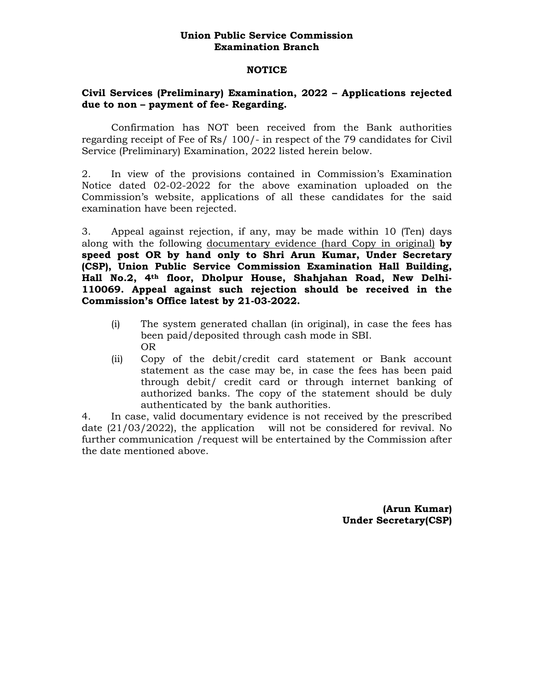## **Union Public Service Commission Examination Branch**

## **NOTICE**

## **Civil Services (Preliminary) Examination, 2022 – Applications rejected due to non – payment of fee- Regarding.**

Confirmation has NOT been received from the Bank authorities regarding receipt of Fee of Rs/ 100/- in respect of the 79 candidates for Civil Service (Preliminary) Examination, 2022 listed herein below.

2. In view of the provisions contained in Commission's Examination Notice dated 02-02-2022 for the above examination uploaded on the Commission's website, applications of all these candidates for the said examination have been rejected.

3. Appeal against rejection, if any, may be made within 10 (Ten) days along with the following documentary evidence (hard Copy in original) **by speed post OR by hand only to Shri Arun Kumar, Under Secretary (CSP), Union Public Service Commission Examination Hall Building, Hall No.2, 4th floor, Dholpur House, Shahjahan Road, New Delhi-110069. Appeal against such rejection should be received in the Commission's Office latest by 21-03-2022.** 

- (i) The system generated challan (in original), in case the fees has been paid/deposited through cash mode in SBI. OR
- (ii) Copy of the debit/credit card statement or Bank account statement as the case may be, in case the fees has been paid through debit/ credit card or through internet banking of authorized banks. The copy of the statement should be duly authenticated by the bank authorities.

4. In case, valid documentary evidence is not received by the prescribed date  $(21/03/2022)$ , the application will not be considered for revival. No further communication /request will be entertained by the Commission after the date mentioned above.

> **(Arun Kumar) Under Secretary(CSP)**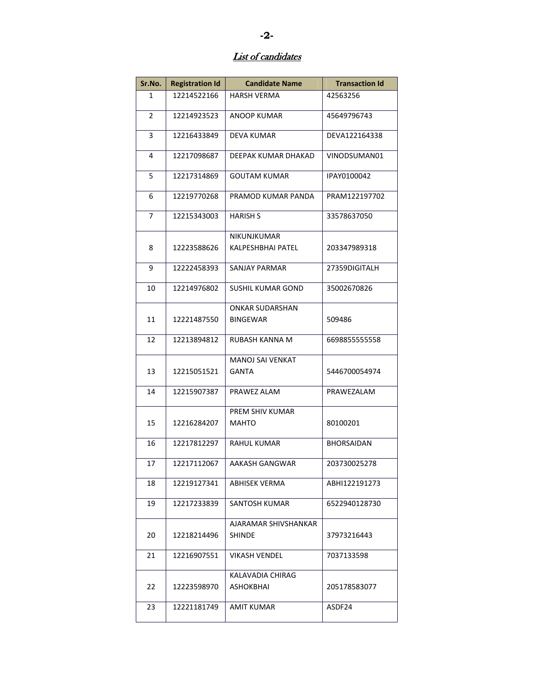## List of candidates

| Sr.No.         | <b>Registration Id</b> | <b>Candidate Name</b>  | <b>Transaction Id</b> |
|----------------|------------------------|------------------------|-----------------------|
| 1              | 12214522166            | <b>HARSH VERMA</b>     | 42563256              |
| 2              | 12214923523            | ANOOP KUMAR            | 45649796743           |
| 3              | 12216433849            | <b>DEVA KUMAR</b>      | DEVA122164338         |
| 4              | 12217098687            | DEEPAK KUMAR DHAKAD    | VINODSUMAN01          |
| 5              | 12217314869            | <b>GOUTAM KUMAR</b>    | IPAY0100042           |
| 6              | 12219770268            | PRAMOD KUMAR PANDA     | PRAM122197702         |
| $\overline{7}$ | 12215343003            | <b>HARISH S</b>        | 33578637050           |
|                |                        | NIKUNJKUMAR            |                       |
| 8              | 12223588626            | KALPESHBHAI PATEL      | 203347989318          |
| 9              | 12222458393            | <b>SANJAY PARMAR</b>   | 27359DIGITALH         |
| 10             | 12214976802            | SUSHIL KUMAR GOND      | 35002670826           |
|                |                        | <b>ONKAR SUDARSHAN</b> |                       |
| 11             | 12221487550            | <b>BINGEWAR</b>        | 509486                |
| 12             | 12213894812            | RUBASH KANNA M         | 6698855555558         |
|                |                        | MANOJ SAI VENKAT       |                       |
| 13             | 12215051521            | <b>GANTA</b>           | 5446700054974         |
| 14             | 12215907387            | PRAWEZ ALAM            | PRAWEZALAM            |
|                |                        | PREM SHIV KUMAR        |                       |
| 15             | 12216284207            | <b>MAHTO</b>           | 80100201              |
| 16             | 12217812297            | <b>RAHUL KUMAR</b>     | <b>BHORSAIDAN</b>     |
| 17             | 12217112067            | AAKASH GANGWAR         | 203730025278          |
| 18             | 12219127341            | ABHISEK VERMA          | ABHI122191273         |
| 19             | 12217233839            | SANTOSH KUMAR          | 6522940128730         |
|                |                        | AJARAMAR SHIVSHANKAR   |                       |
| 20             | 12218214496            | <b>SHINDE</b>          | 37973216443           |
| 21             | 12216907551            | VIKASH VENDEL          | 7037133598            |
|                |                        | KALAVADIA CHIRAG       |                       |
| 22             | 12223598970            | ASHOKBHAI              | 205178583077          |
| 23             | 12221181749            | AMIT KUMAR             | ASDF24                |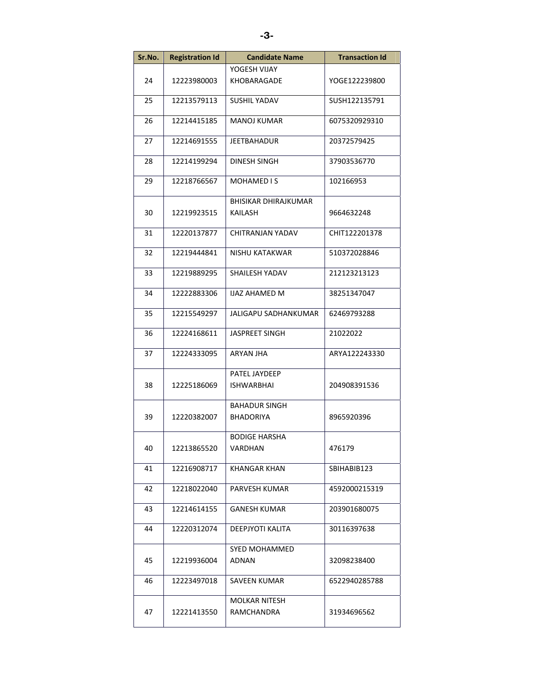| Sr.No. | <b>Registration Id</b> | <b>Candidate Name</b> | <b>Transaction Id</b> |
|--------|------------------------|-----------------------|-----------------------|
|        |                        | YOGESH VIJAY          |                       |
| 24     | 12223980003            | KHOBARAGADE           | YOGE122239800         |
| 25     | 12213579113            | SUSHIL YADAV          | SUSH122135791         |
| 26     | 12214415185            | <b>MANOJ KUMAR</b>    | 6075320929310         |
| 27     | 12214691555            | <b>JEETBAHADUR</b>    | 20372579425           |
| 28     | 12214199294            | DINESH SINGH          | 37903536770           |
| 29     | 12218766567            | <b>MOHAMED IS</b>     | 102166953             |
|        |                        | BHISIKAR DHIRAJKUMAR  |                       |
| 30     | 12219923515            | KAILASH               | 9664632248            |
| 31     | 12220137877            | CHITRANJAN YADAV      | CHIT122201378         |
| 32     | 12219444841            | NISHU KATAKWAR        | 510372028846          |
| 33     | 12219889295            | SHAILESH YADAV        | 212123213123          |
| 34     | 12222883306            | <b>IJAZ AHAMED M</b>  | 38251347047           |
| 35     | 12215549297            | JALIGAPU SADHANKUMAR  | 62469793288           |
| 36     | 12224168611            | <b>JASPREET SINGH</b> | 21022022              |
| 37     | 12224333095            | ARYAN JHA             | ARYA122243330         |
|        |                        | PATEL JAYDEEP         |                       |
| 38     | 12225186069            | <b>ISHWARBHAI</b>     | 204908391536          |
|        |                        | <b>BAHADUR SINGH</b>  |                       |
| 39     | 12220382007            | BHADORIYA             | 8965920396            |
|        |                        | <b>BODIGE HARSHA</b>  |                       |
| 40     | 12213865520            | VARDHAN               | 476179                |
| 41     | 12216908717            | KHANGAR KHAN          | SBIHABIB123           |
| 42     | 12218022040            | PARVESH KUMAR         | 4592000215319         |
| 43     | 12214614155            | <b>GANESH KUMAR</b>   | 203901680075          |
| 44     | 12220312074            | DEEPJYOTI KALITA      | 30116397638           |
|        |                        | SYED MOHAMMED         |                       |
| 45     | 12219936004            | ADNAN                 | 32098238400           |
| 46     | 12223497018            | SAVEEN KUMAR          | 6522940285788         |
|        |                        | MOLKAR NITESH         |                       |
| 47     | 12221413550            | RAMCHANDRA            | 31934696562           |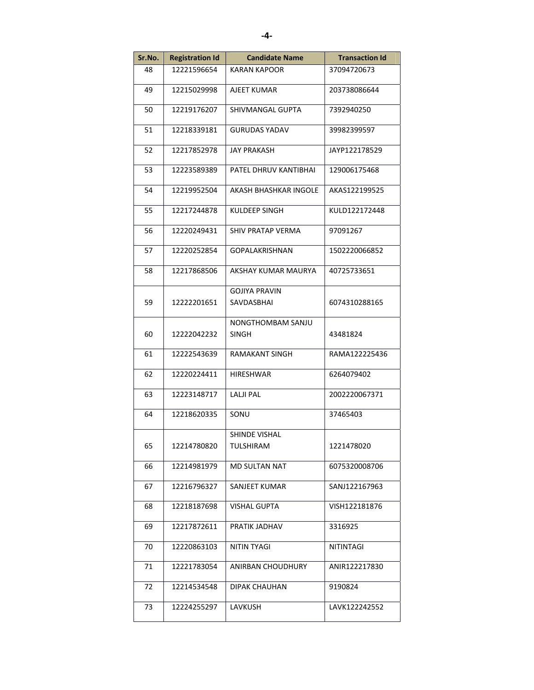| Sr.No. | <b>Registration Id</b> | <b>Candidate Name</b>              | <b>Transaction Id</b> |
|--------|------------------------|------------------------------------|-----------------------|
| 48     | 12221596654            | <b>KARAN KAPOOR</b>                | 37094720673           |
| 49     | 12215029998            | AJEET KUMAR                        | 203738086644          |
| 50     | 12219176207            | SHIVMANGAL GUPTA                   | 7392940250            |
| 51     | 12218339181            | <b>GURUDAS YADAV</b>               | 39982399597           |
| 52     | 12217852978            | JAY PRAKASH                        | JAYP122178529         |
| 53     | 12223589389            | PATEL DHRUV KANTIBHAI              | 129006175468          |
| 54     | 12219952504            | AKASH BHASHKAR INGOLE              | AKAS122199525         |
| 55     | 12217244878            | KULDEEP SINGH                      | KULD122172448         |
| 56     | 12220249431            | SHIV PRATAP VERMA                  | 97091267              |
| 57     | 12220252854            | <b>GOPALAKRISHNAN</b>              | 1502220066852         |
| 58     | 12217868506            | AKSHAY KUMAR MAURYA                | 40725733651           |
| 59     | 12222201651            | <b>GOJIYA PRAVIN</b><br>SAVDASBHAI | 6074310288165         |
| 60     | 12222042232            | NONGTHOMBAM SANJU<br>SINGH         | 43481824              |
| 61     | 12222543639            | RAMAKANT SINGH                     | RAMA122225436         |
| 62     | 12220224411            | HIRESHWAR                          | 6264079402            |
| 63     | 12223148717            | LALJI PAL                          | 2002220067371         |
| 64     | 12218620335            | SONU                               | 37465403              |
| 65     | 12214780820            | SHINDE VISHAL<br>TULSHIRAM         | 1221478020            |
| 66     | 12214981979            | <b>MD SULTAN NAT</b>               | 6075320008706         |
| 67     | 12216796327            | SANJEET KUMAR                      | SANJ122167963         |
| 68     | 12218187698            | VISHAL GUPTA                       | VISH122181876         |
| 69     | 12217872611            | PRATIK JADHAV                      | 3316925               |
| 70     | 12220863103            | NITIN TYAGI                        | NITINTAGI             |
| 71     | 12221783054            | ANIRBAN CHOUDHURY                  | ANIR122217830         |
| 72     | 12214534548            | DIPAK CHAUHAN                      | 9190824               |
| 73     | 12224255297            | LAVKUSH                            | LAVK122242552         |